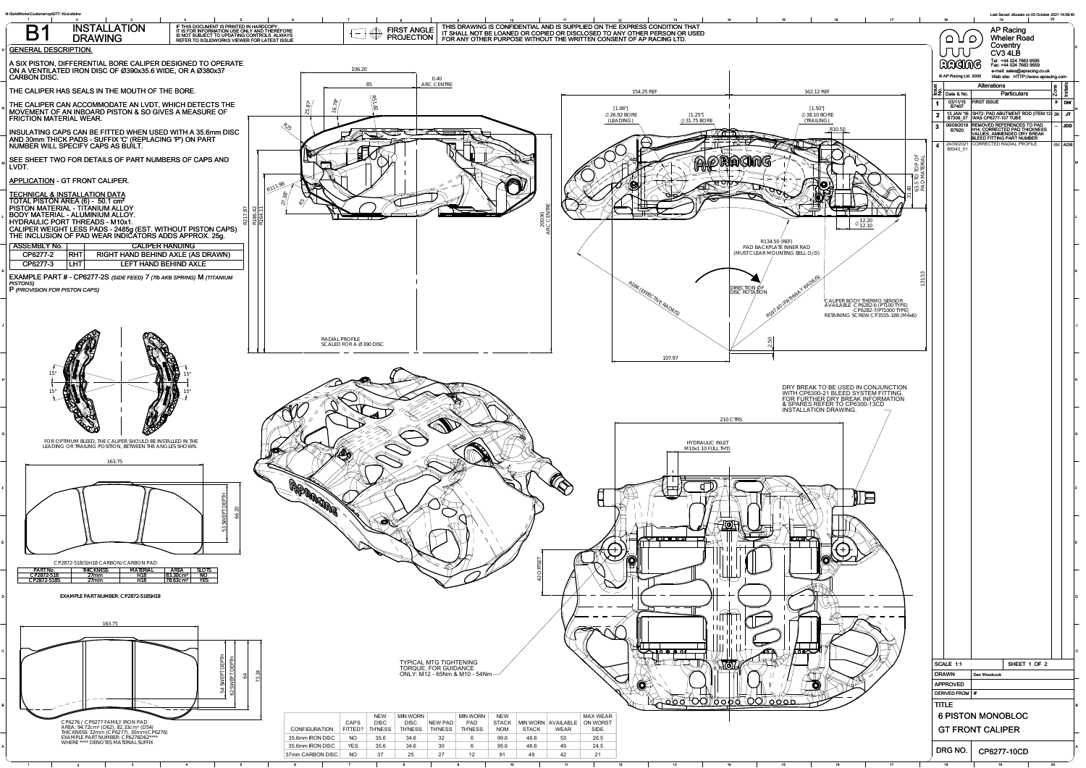